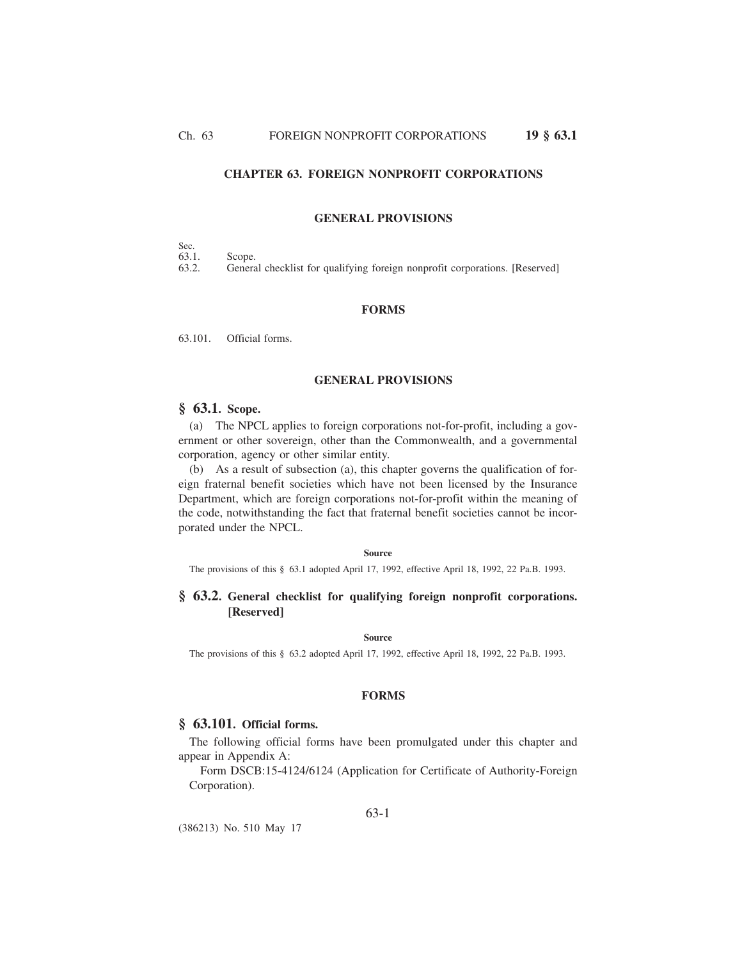# **CHAPTER 63. FOREIGN NONPROFIT CORPORATIONS**

#### **GENERAL PROVISIONS**

| Sec.  |        |
|-------|--------|
| 63.1. | Scope. |

63.2. General checklist for qualifying foreign nonprofit corporations. [Reserved]

#### **FORMS**

63.101. Official forms.

### **GENERAL PROVISIONS**

# **§ 63.1. Scope.**

(a) The NPCL applies to foreign corporations not-for-profit, including a government or other sovereign, other than the Commonwealth, and a governmental corporation, agency or other similar entity.

(b) As a result of subsection (a), this chapter governs the qualification of foreign fraternal benefit societies which have not been licensed by the Insurance Department, which are foreign corporations not-for-profit within the meaning of the code, notwithstanding the fact that fraternal benefit societies cannot be incorporated under the NPCL.

**Source**

The provisions of this § 63.1 adopted April 17, 1992, effective April 18, 1992, 22 Pa.B. 1993.

# **§ 63.2. General checklist for qualifying foreign nonprofit corporations. [Reserved]**

#### **Source**

The provisions of this § 63.2 adopted April 17, 1992, effective April 18, 1992, 22 Pa.B. 1993.

## **FORMS**

## **§ 63.101. Official forms.**

The following official forms have been promulgated under this chapter and appear in Appendix A:

Form DSCB:15-4124/6124 (Application for Certificate of Authority-Foreign Corporation).

(386213) No. 510 May 17